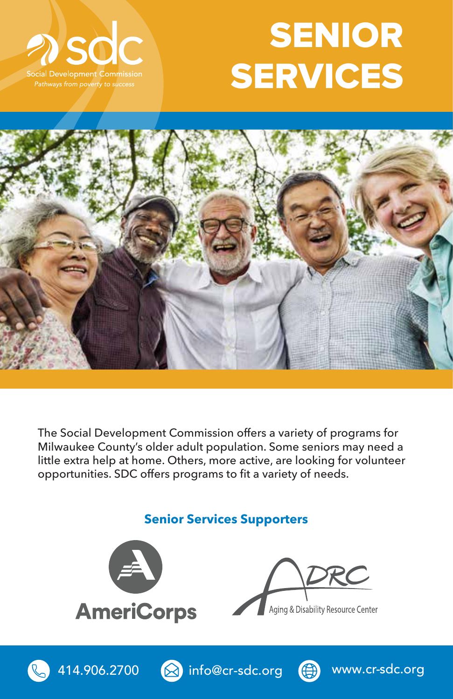

## SENIOR **SERVICES**



The Social Development Commission offers a variety of programs for Milwaukee County's older adult population. Some seniors may need a little extra help at home. Others, more active, are looking for volunteer opportunities. SDC offers programs to fit a variety of needs.

**Senior Services Supporters**